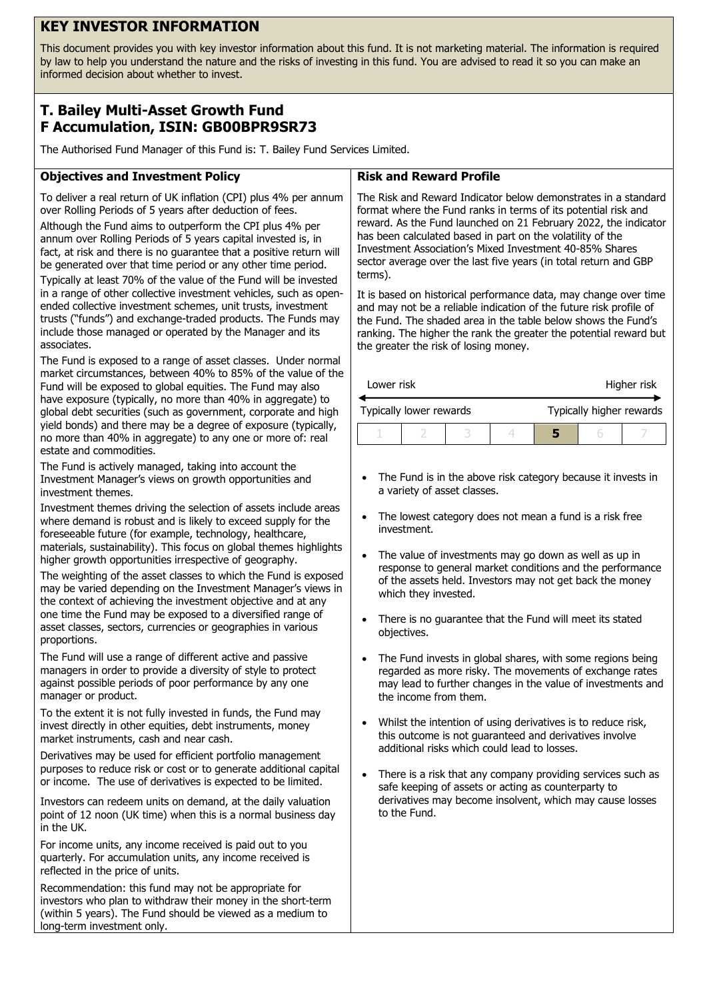# **KEY INVESTOR INFORMATION**

This document provides you with key investor information about this fund. It is not marketing material. The information is required by law to help you understand the nature and the risks of investing in this fund. You are advised to read it so you can make an informed decision about whether to invest.

## **T. Bailey Multi-Asset Growth Fund F Accumulation, ISIN: GB00BPR9SR73**

The Authorised Fund Manager of this Fund is: T. Bailey Fund Services Limited.

## **Objectives and Investment Policy**

To deliver a real return of UK inflation (CPI) plus 4% per annum over Rolling Periods of 5 years after deduction of fees.

Although the Fund aims to outperform the CPI plus 4% per annum over Rolling Periods of 5 years capital invested is, in fact, at risk and there is no guarantee that a positive return will be generated over that time period or any other time period.

Typically at least 70% of the value of the Fund will be invested in a range of other collective investment vehicles, such as openended collective investment schemes, unit trusts, investment trusts ("funds") and exchange-traded products. The Funds may include those managed or operated by the Manager and its associates.

The Fund is exposed to a range of asset classes. Under normal market circumstances, between 40% to 85% of the value of the Fund will be exposed to global equities. The Fund may also have exposure (typically, no more than 40% in aggregate) to global debt securities (such as government, corporate and high yield bonds) and there may be a degree of exposure (typically, no more than 40% in aggregate) to any one or more of: real estate and commodities.

The Fund is actively managed, taking into account the Investment Manager's views on growth opportunities and investment themes.

Investment themes driving the selection of assets include areas where demand is robust and is likely to exceed supply for the foreseeable future (for example, technology, healthcare, materials, sustainability). This focus on global themes highlights higher growth opportunities irrespective of geography.

The weighting of the asset classes to which the Fund is exposed may be varied depending on the Investment Manager's views in the context of achieving the investment objective and at any one time the Fund may be exposed to a diversified range of asset classes, sectors, currencies or geographies in various proportions.

The Fund will use a range of different active and passive managers in order to provide a diversity of style to protect against possible periods of poor performance by any one manager or product.

To the extent it is not fully invested in funds, the Fund may invest directly in other equities, debt instruments, money market instruments, cash and near cash.

Derivatives may be used for efficient portfolio management purposes to reduce risk or cost or to generate additional capital or income. The use of derivatives is expected to be limited.

Investors can redeem units on demand, at the daily valuation point of 12 noon (UK time) when this is a normal business day in the UK.

For income units, any income received is paid out to you quarterly. For accumulation units, any income received is reflected in the price of units.

Recommendation: this fund may not be appropriate for investors who plan to withdraw their money in the short-term (within 5 years). The Fund should be viewed as a medium to long-term investment only.

## **Risk and Reward Profile**

The Risk and Reward Indicator below demonstrates in a standard format where the Fund ranks in terms of its potential risk and reward. As the Fund launched on 21 February 2022, the indicator has been calculated based in part on the volatility of the Investment Association's Mixed Investment 40-85% Shares sector average over the last five years (in total return and GBP terms).

It is based on historical performance data, may change over time and may not be a reliable indication of the future risk profile of the Fund. The shaded area in the table below shows the Fund's ranking. The higher the rank the greater the potential reward but the greater the risk of losing money.

| Lower risk              |  |  |  | Higher risk              |  |  |
|-------------------------|--|--|--|--------------------------|--|--|
| Typically lower rewards |  |  |  | Typically higher rewards |  |  |
|                         |  |  |  |                          |  |  |

- The Fund is in the above risk category because it invests in a variety of asset classes.
- The lowest category does not mean a fund is a risk free investment.
- The value of investments may go down as well as up in response to general market conditions and the performance of the assets held. Investors may not get back the money which they invested.
- There is no guarantee that the Fund will meet its stated objectives.
- The Fund invests in global shares, with some regions being regarded as more risky. The movements of exchange rates may lead to further changes in the value of investments and the income from them.
- Whilst the intention of using derivatives is to reduce risk, this outcome is not guaranteed and derivatives involve additional risks which could lead to losses.
- There is a risk that any company providing services such as safe keeping of assets or acting as counterparty to derivatives may become insolvent, which may cause losses to the Fund.